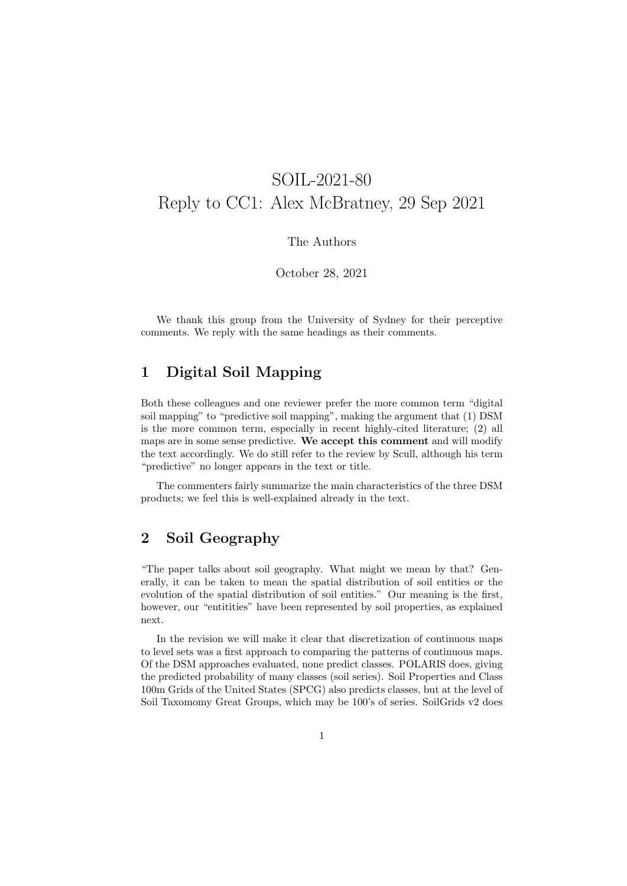# SOIL-2021-80 Reply to CC1: Alex McBratney, 29 Sep 2021

#### The Authors

October 28, 2021

We thank this group from the University of Sydney for their perceptive comments. We reply with the same headings as their comments.

### 1 Digital Soil Mapping

Both these colleagues and one reviewer prefer the more common term "digital soil mapping" to "predictive soil mapping", making the argument that (1) DSM is the more common term, especially in recent highly-cited literature; (2) all maps are in some sense predictive. We accept this comment and will modify the text accordingly. We do still refer to the review by Scull, although his term "predictive" no longer appears in the text or title.

The commenters fairly summarize the main characteristics of the three DSM products; we feel this is well-explained already in the text.

### 2 Soil Geography

"The paper talks about soil geography. What might we mean by that? Generally, it can be taken to mean the spatial distribution of soil entities or the evolution of the spatial distribution of soil entities." Our meaning is the first, however, our "entitities" have been represented by soil properties, as explained next.

In the revision we will make it clear that discretization of continuous maps to level sets was a first approach to comparing the patterns of continuous maps. Of the DSM approaches evaluated, none predict classes. POLARIS does, giving the predicted probability of many classes (soil series). Soil Properties and Class 100m Grids of the United States (SPCG) also predicts classes, but at the level of Soil Taxomomy Great Groups, which may be 100's of series. SoilGrids v2 does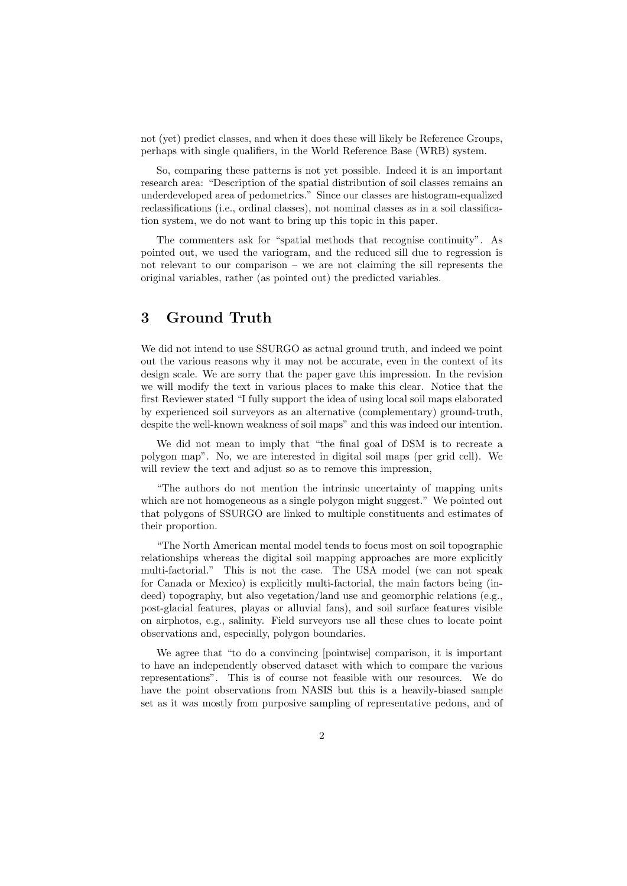not (yet) predict classes, and when it does these will likely be Reference Groups, perhaps with single qualifiers, in the World Reference Base (WRB) system.

So, comparing these patterns is not yet possible. Indeed it is an important research area: "Description of the spatial distribution of soil classes remains an underdeveloped area of pedometrics." Since our classes are histogram-equalized reclassifications (i.e., ordinal classes), not nominal classes as in a soil classification system, we do not want to bring up this topic in this paper.

The commenters ask for "spatial methods that recognise continuity". As pointed out, we used the variogram, and the reduced sill due to regression is not relevant to our comparison – we are not claiming the sill represents the original variables, rather (as pointed out) the predicted variables.

## 3 Ground Truth

We did not intend to use SSURGO as actual ground truth, and indeed we point out the various reasons why it may not be accurate, even in the context of its design scale. We are sorry that the paper gave this impression. In the revision we will modify the text in various places to make this clear. Notice that the first Reviewer stated "I fully support the idea of using local soil maps elaborated by experienced soil surveyors as an alternative (complementary) ground-truth, despite the well-known weakness of soil maps" and this was indeed our intention.

We did not mean to imply that "the final goal of DSM is to recreate a polygon map". No, we are interested in digital soil maps (per grid cell). We will review the text and adjust so as to remove this impression,

"The authors do not mention the intrinsic uncertainty of mapping units which are not homogeneous as a single polygon might suggest." We pointed out that polygons of SSURGO are linked to multiple constituents and estimates of their proportion.

"The North American mental model tends to focus most on soil topographic relationships whereas the digital soil mapping approaches are more explicitly multi-factorial." This is not the case. The USA model (we can not speak for Canada or Mexico) is explicitly multi-factorial, the main factors being (indeed) topography, but also vegetation/land use and geomorphic relations (e.g., post-glacial features, playas or alluvial fans), and soil surface features visible on airphotos, e.g., salinity. Field surveyors use all these clues to locate point observations and, especially, polygon boundaries.

We agree that "to do a convincing [pointwise] comparison, it is important to have an independently observed dataset with which to compare the various representations". This is of course not feasible with our resources. We do have the point observations from NASIS but this is a heavily-biased sample set as it was mostly from purposive sampling of representative pedons, and of